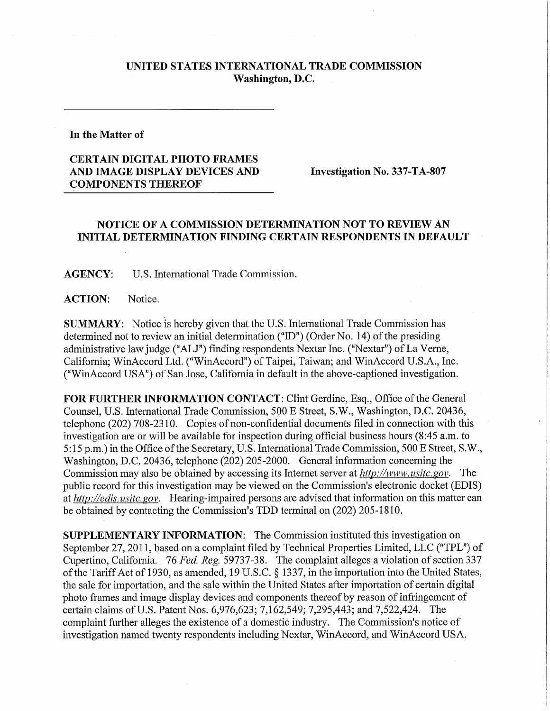## **UNITED STATES INTERNATIONAL TRADE COMMISSION Washington, D.C.**

## **In the Matter of**

## **CERTAIN DIGITAL PHOTO FRAMES AND IMAGE DISPLAY DEVICES AND Investigation No. 337-TA-807 COMPONENTS THEREOF**

## **NOTICE OF A COMMISSION DETERMINATION NOT TO REVIEW AN INITIAL DETERMINATION FINDING CERTAIN RESPONDENTS IN DEFAULT**

**AGENCY:** U.S. International Trade Commission.

ACTION: Notice.

**SUMMARY:** Notice is hereby given that the U.S. International Trade Commission has determined not to review an initial determination ("ID") (Order No. 14) of the presiding administrative law judge ("ALJ") finding respondents Nextar Inc. ("Nextar") of La Verne, California; WinAccord Ltd. ("WinAccord") of Taipei, Taiwan; and WinAccord U.S.A., Inc. ("WinAccord USA") of San Jose, California in default in the above-captioned investigation.

FOR FURTHER INFORMATION CONTACT: Clint Gerdine, Esq., Office of the General Counsel, U.S. International Trade Commission, 500 E Street, S.W., Washington, D.C. 20436, telephone (202) 708-2310. Copies of non-confidential documents filed in connection with this investigation are or will be available for inspection during official business hours (8:45 a.m. to 5:15 p.m.) in the Office of the Secretary, U.S. International Trade Commission, 500 E Street, S.W., Washington, D.C. 20436, telephone (202) 205-2000. General information concerning the Commission may also be obtained by accessing its Internet server at *http://www. usitc. gov.* The public record for this investigation may be viewed on the Commission's electronic docket (EDIS) at *http://edis. usitc. gov.* Hearing-impaired persons are advised that information on this matter can be obtained by contacting the Commission's TDD terminal on (202) 205-1810.

**SUPPLEMENTARY INFORMATION:** The Commission instituted this investigation on September 27, 2011, based on a complaint filed by Technical Properties Limited, LLC ("TPL") of Cupertino, California. 76 *Fed. Reg.* 59737-38. The complaint alleges a violation of section 337 of the Tariff Act of 1930, as amended, 19 U.S.C. § 1337, in the importation into the United States, the sale for importation, and the sale within the United States after importation of certain digital photo frames and image display devices and components thereof by reason of infringement of certain claims of U.S. Patent Nos. 6,976,623; 7,162,549; 7,295,443; and 7,522,424. The complaint further alleges the existence of a domestic industry. The Commission's notice of investigation named twenty respondents including Nextar, WinAccord, and WinAccord USA.